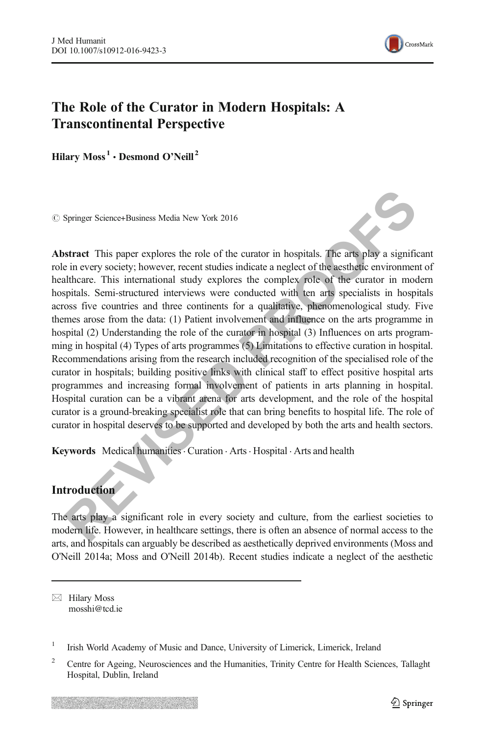

# The Role of the Curator in Modern Hospitals: A Transcontinental Perspective

Hilary  $Moss<sup>1</sup> \cdot$  Desmond O'Neill<sup>2</sup>

 $\oslash$  Springer Science+Business Media New York 2016

Springer Science+Business Media New York 2016<br> **REVIS SPRING SET ASSES And SET ASSES AND SET AND A SET AND A SET AND A SET AND A SET AND A SET AND A SET AND A SET AND A SET AND A SET AND A SET AND A SET AND THE INTERNATION** Abstract This paper explores the role of the curator in hospitals. The arts play a significant role in every society; however, recent studies indicate a neglect of the aesthetic environment of healthcare. This international study explores the complex role of the curator in modern hospitals. Semi-structured interviews were conducted with ten arts specialists in hospitals across five countries and three continents for a qualitative, phenomenological study. Five themes arose from the data: (1) Patient involvement and influence on the arts programme in hospital (2) Understanding the role of the curator in hospital (3) Influences on arts programming in hospital (4) Types of arts programmes (5) Limitations to effective curation in hospital. Recommendations arising from the research included recognition of the specialised role of the curator in hospitals; building positive links with clinical staff to effect positive hospital arts programmes and increasing formal involvement of patients in arts planning in hospital. Hospital curation can be a vibrant arena for arts development, and the role of the hospital curator is a ground-breaking specialist role that can bring benefits to hospital life. The role of curator in hospital deserves to be supported and developed by both the arts and health sectors.

Keywords Medical humanities Curation Arts · Hospital · Arts and health

## Introduction

The arts play a significant role in every society and culture, from the earliest societies to modern life. However, in healthcare settings, there is often an absence of normal access to the arts, and hospitals can arguably be described as aesthetically deprived environments (Moss and O'Neill 2014a; Moss and O'Neill 2014b). Recent studies indicate a neglect of the aesthetic

 $\boxtimes$  Hilary Moss mosshi@tcd.ie

<sup>1</sup> Irish World Academy of Music and Dance, University of Limerick, Limerick, Ireland

<sup>&</sup>lt;sup>2</sup> Centre for Ageing, Neurosciences and the Humanities, Trinity Centre for Health Sciences, Tallaght Hospital, Dublin, Ireland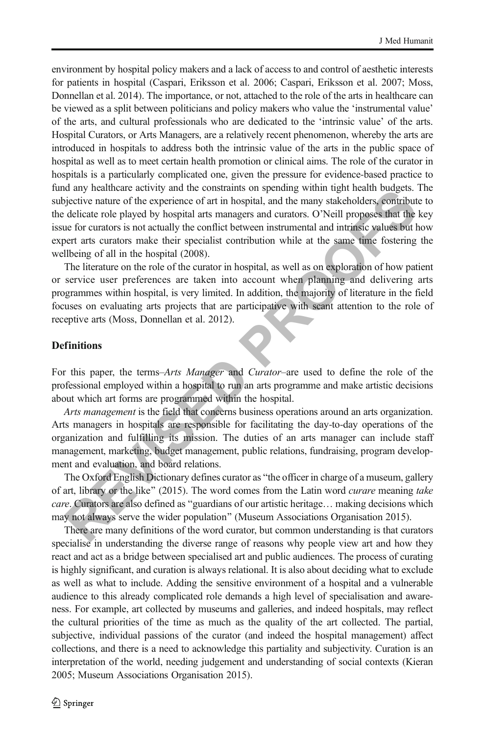a any neatural eatony and the constantion supernancy when the and one<br>gets on the experience of art in hospital, and the many stakeholders, comtributed<br>icitate role played by hospital arts managers and curators. O'Neill pr environment by hospital policy makers and a lack of access to and control of aesthetic interests for patients in hospital (Caspari, Eriksson et al. 2006; Caspari, Eriksson et al. 2007; Moss, Donnellan et al. 2014). The importance, or not, attached to the role of the arts in healthcare can be viewed as a split between politicians and policy makers who value the 'instrumental value' of the arts, and cultural professionals who are dedicated to the 'intrinsic value' of the arts. Hospital Curators, or Arts Managers, are a relatively recent phenomenon, whereby the arts are introduced in hospitals to address both the intrinsic value of the arts in the public space of hospital as well as to meet certain health promotion or clinical aims. The role of the curator in hospitals is a particularly complicated one, given the pressure for evidence-based practice to fund any healthcare activity and the constraints on spending within tight health budgets. The subjective nature of the experience of art in hospital, and the many stakeholders, contribute to the delicate role played by hospital arts managers and curators. O'Neill proposes that the key issue for curators is not actually the conflict between instrumental and intrinsic values but how expert arts curators make their specialist contribution while at the same time fostering the wellbeing of all in the hospital (2008).

The literature on the role of the curator in hospital, as well as on exploration of how patient or service user preferences are taken into account when planning and delivering arts programmes within hospital, is very limited. In addition, the majority of literature in the field focuses on evaluating arts projects that are participative with scant attention to the role of receptive arts (Moss, Donnellan et al. 2012).

## **Definitions**

For this paper, the terms–Arts Manager and Curator–are used to define the role of the professional employed within a hospital to run an arts programme and make artistic decisions about which art forms are programmed within the hospital.

Arts management is the field that concerns business operations around an arts organization. Arts managers in hospitals are responsible for facilitating the day-to-day operations of the organization and fulfilling its mission. The duties of an arts manager can include staff management, marketing, budget management, public relations, fundraising, program development and evaluation, and board relations.

The Oxford English Dictionary defines curator as "the officer in charge of a museum, gallery of art, library or the like" (2015). The word comes from the Latin word *curare* meaning take care. Curators are also defined as "guardians of our artistic heritage... making decisions which may not always serve the wider population^ (Museum Associations Organisation 2015).

There are many definitions of the word curator, but common understanding is that curators specialise in understanding the diverse range of reasons why people view art and how they react and act as a bridge between specialised art and public audiences. The process of curating is highly significant, and curation is always relational. It is also about deciding what to exclude as well as what to include. Adding the sensitive environment of a hospital and a vulnerable audience to this already complicated role demands a high level of specialisation and awareness. For example, art collected by museums and galleries, and indeed hospitals, may reflect the cultural priorities of the time as much as the quality of the art collected. The partial, subjective, individual passions of the curator (and indeed the hospital management) affect collections, and there is a need to acknowledge this partiality and subjectivity. Curation is an interpretation of the world, needing judgement and understanding of social contexts (Kieran 2005; Museum Associations Organisation 2015).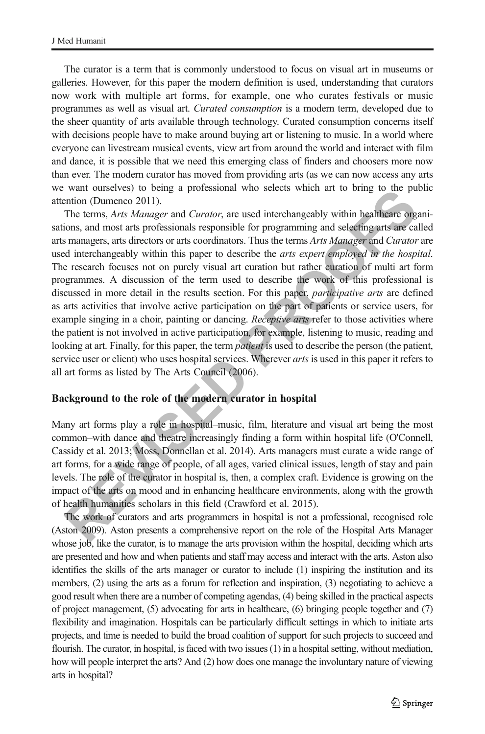The curator is a term that is commonly understood to focus on visual art in museums or galleries. However, for this paper the modern definition is used, understanding that curators now work with multiple art forms, for example, one who curates festivals or music programmes as well as visual art. Curated consumption is a modern term, developed due to the sheer quantity of arts available through technology. Curated consumption concerns itself with decisions people have to make around buying art or listening to music. In a world where everyone can livestream musical events, view art from around the world and interact with film and dance, it is possible that we need this emerging class of finders and choosers more now than ever. The modern curator has moved from providing arts (as we can now access any arts we want ourselves) to being a professional who selects which art to bring to the public attention (Dumenco 2011).

ware unserves) to every a determined that the system and the system and the system and most are the system and most are star information (Dumenco 2011). The terms, *Arts Manager* and *Curator*, are used interchangeably wit The terms, Arts Manager and Curator, are used interchangeably within healthcare organisations, and most arts professionals responsible for programming and selecting arts are called arts managers, arts directors or arts coordinators. Thus the terms Arts Manager and Curator are used interchangeably within this paper to describe the *arts expert employed in the hospital*. The research focuses not on purely visual art curation but rather curation of multi art form programmes. A discussion of the term used to describe the work of this professional is discussed in more detail in the results section. For this paper, *participative arts* are defined as arts activities that involve active participation on the part of patients or service users, for example singing in a choir, painting or dancing. *Receptive arts* refer to those activities where the patient is not involved in active participation, for example, listening to music, reading and looking at art. Finally, for this paper, the term *patient* is used to describe the person (the patient, service user or client) who uses hospital services. Wherever *arts* is used in this paper it refers to all art forms as listed by The Arts Council (2006).

#### Background to the role of the modern curator in hospital

Many art forms play a role in hospital–music, film, literature and visual art being the most common–with dance and theatre increasingly finding a form within hospital life (O'Connell, Cassidy et al. 2013; Moss, Donnellan et al. 2014). Arts managers must curate a wide range of art forms, for a wide range of people, of all ages, varied clinical issues, length of stay and pain levels. The role of the curator in hospital is, then, a complex craft. Evidence is growing on the impact of the arts on mood and in enhancing healthcare environments, along with the growth of health humanities scholars in this field (Crawford et al. 2015).

The work of curators and arts programmers in hospital is not a professional, recognised role (Aston 2009). Aston presents a comprehensive report on the role of the Hospital Arts Manager whose job, like the curator, is to manage the arts provision within the hospital, deciding which arts are presented and how and when patients and staff may access and interact with the arts. Aston also identifies the skills of the arts manager or curator to include (1) inspiring the institution and its members, (2) using the arts as a forum for reflection and inspiration, (3) negotiating to achieve a good result when there are a number of competing agendas, (4) being skilled in the practical aspects of project management, (5) advocating for arts in healthcare, (6) bringing people together and (7) flexibility and imagination. Hospitals can be particularly difficult settings in which to initiate arts projects, and time is needed to build the broad coalition of support for such projects to succeed and flourish. The curator, in hospital, is faced with two issues (1) in a hospital setting, without mediation, how will people interpret the arts? And (2) how does one manage the involuntary nature of viewing arts in hospital?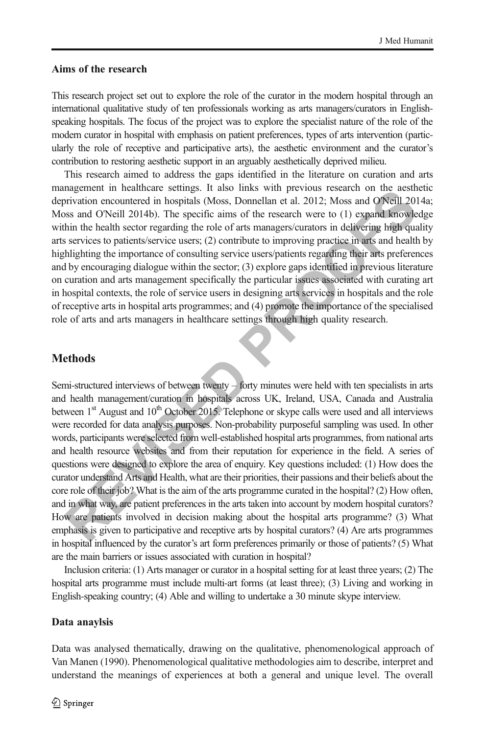### Aims of the research

This research project set out to explore the role of the curator in the modern hospital through an international qualitative study of ten professionals working as arts managers/curators in Englishspeaking hospitals. The focus of the project was to explore the specialist nature of the role of the modern curator in hospital with emphasis on patient preferences, types of arts intervention (particularly the role of receptive and participative arts), the aesthetic environment and the curator's contribution to restoring aesthetic support in an arguably aesthetically deprived milieu.

This research aimed to address the gaps identified in the literature on curation and arts management in healthcare settings. It also links with previous research on the aesthetic deprivation encountered in hospitals (Moss, Donnellan et al. 2012; Moss and O'Neill 2014a; Moss and O'Neill 2014b). The specific aims of the research were to (1) expand knowledge within the health sector regarding the role of arts managers/curators in delivering high quality arts services to patients/service users; (2) contribute to improving practice in arts and health by highlighting the importance of consulting service users/patients regarding their arts preferences and by encouraging dialogue within the sector; (3) explore gaps identified in previous literature on curation and arts management specifically the particular issues associated with curating art in hospital contexts, the role of service users in designing arts services in hospitals and the role of receptive arts in hospital arts programmes; and (4) promote the importance of the specialised role of arts and arts managers in healthcare settings through high quality research.

## **Methods**

Integralment in the nearlinet estengy. It also units with previous research on the assume that the constrained extends in the constrained the product of the transformation in the constrained the product of expanding the pr Semi-structured interviews of between twenty – forty minutes were held with ten specialists in arts and health management/curation in hospitals across UK, Ireland, USA, Canada and Australia between  $1<sup>st</sup>$  August and  $10<sup>th</sup>$  October 2015. Telephone or skype calls were used and all interviews were recorded for data analysis purposes. Non-probability purposeful sampling was used. In other words, participants were selected from well-established hospital arts programmes, from national arts and health resource websites and from their reputation for experience in the field. A series of questions were designed to explore the area of enquiry. Key questions included: (1) How does the curator understand Arts and Health, what are their priorities, their passions and their beliefs about the core role of their job? What is the aim of the arts programme curated in the hospital? (2) How often, and in what way, are patient preferences in the arts taken into account by modern hospital curators? How are patients involved in decision making about the hospital arts programme? (3) What emphasis is given to participative and receptive arts by hospital curators? (4) Are arts programmes in hospital influenced by the curator's art form preferences primarily or those of patients? (5) What are the main barriers or issues associated with curation in hospital?

Inclusion criteria: (1) Arts manager or curator in a hospital setting for at least three years; (2) The hospital arts programme must include multi-art forms (at least three); (3) Living and working in English-speaking country; (4) Able and willing to undertake a 30 minute skype interview.

#### Data anaylsis

Data was analysed thematically, drawing on the qualitative, phenomenological approach of Van Manen (1990). Phenomenological qualitative methodologies aim to describe, interpret and understand the meanings of experiences at both a general and unique level. The overall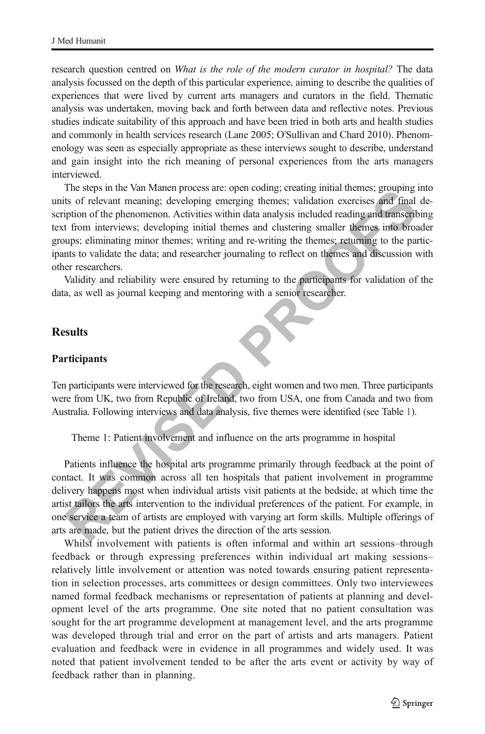research question centred on *What is the role of the modern curator in hospital?* The data analysis focussed on the depth of this particular experience, aiming to describe the qualities of experiences that were lived by current arts managers and curators in the field. Thematic analysis was undertaken, moving back and forth between data and reflective notes. Previous studies indicate suitability of this approach and have been tried in both arts and health studies and commonly in health services research (Lane 2005; O'Sullivan and Chard 2010). Phenomenology was seen as especially appropriate as these interviews sought to describe, understand and gain insight into the rich meaning of personal experiences from the arts managers interviewed.

The seeps in te wan wanden potecos are operational marking unitarial memesters of relevant meming; developing emerging themes; validation excretises and final<br>piption of the phenomenon. Activities within data malysis inclu The steps in the Van Manen process are: open coding; creating initial themes; grouping into units of relevant meaning; developing emerging themes; validation exercises and final description of the phenomenon. Activities within data analysis included reading and transcribing text from interviews; developing initial themes and clustering smaller themes into broader groups; eliminating minor themes; writing and re-writing the themes; returning to the participants to validate the data; and researcher journaling to reflect on themes and discussion with other researchers.

Validity and reliability were ensured by returning to the participants for validation of the data, as well as journal keeping and mentoring with a senior researcher.

## **Results**

#### Participants

Ten participants were interviewed for the research, eight women and two men. Three participants were from UK, two from Republic of Ireland, two from USA, one from Canada and two from Australia. Following interviews and data analysis, five themes were identified (see Table 1).

Theme 1: Patient involvement and influence on the arts programme in hospital

Patients influence the hospital arts programme primarily through feedback at the point of contact. It was common across all ten hospitals that patient involvement in programme delivery happens most when individual artists visit patients at the bedside, at which time the artist tailors the arts intervention to the individual preferences of the patient. For example, in one service a team of artists are employed with varying art form skills. Multiple offerings of arts are made, but the patient drives the direction of the arts session.

Whilst involvement with patients is often informal and within art sessions–through feedback or through expressing preferences within individual art making sessions– relatively little involvement or attention was noted towards ensuring patient representation in selection processes, arts committees or design committees. Only two interviewees named formal feedback mechanisms or representation of patients at planning and development level of the arts programme. One site noted that no patient consultation was sought for the art programme development at management level, and the arts programme was developed through trial and error on the part of artists and arts managers. Patient evaluation and feedback were in evidence in all programmes and widely used. It was noted that patient involvement tended to be after the arts event or activity by way of feedback rather than in planning.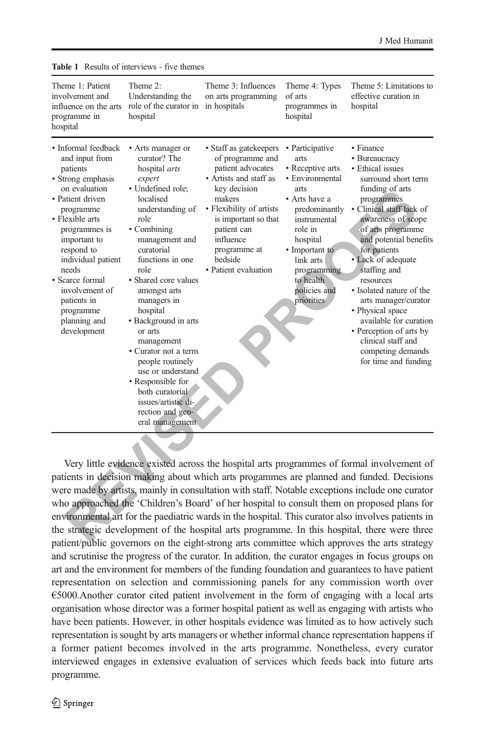| Theme 1: Patient<br>involvement and<br>influence on the arts<br>programme in<br>hospital                                                                                                                                                                                                                                  | Theme 2:<br>Understanding the<br>role of the curator in<br>hospital                                                                                                                                                                                                                                                                                                                                                                                                                               | Theme 3: Influences<br>on arts programming<br>in hospitals                                                                                                                                                                                             | Theme 4: Types<br>of arts<br>programmes in<br>hospital                                                                                                                                                                                   | Theme 5: Limitations to<br>effective curation in<br>hospital                                                                                                                                                                                                                                                                                                                                                                                                               |
|---------------------------------------------------------------------------------------------------------------------------------------------------------------------------------------------------------------------------------------------------------------------------------------------------------------------------|---------------------------------------------------------------------------------------------------------------------------------------------------------------------------------------------------------------------------------------------------------------------------------------------------------------------------------------------------------------------------------------------------------------------------------------------------------------------------------------------------|--------------------------------------------------------------------------------------------------------------------------------------------------------------------------------------------------------------------------------------------------------|------------------------------------------------------------------------------------------------------------------------------------------------------------------------------------------------------------------------------------------|----------------------------------------------------------------------------------------------------------------------------------------------------------------------------------------------------------------------------------------------------------------------------------------------------------------------------------------------------------------------------------------------------------------------------------------------------------------------------|
| • Informal feedback<br>and input from<br>patients<br>• Strong emphasis<br>on evaluation<br>• Patient driven<br>programme<br>• Flexible arts<br>programmes is<br>important to<br>respond to<br>individual patient<br>needs<br>• Scarce formal<br>involvement of<br>patients in<br>programme<br>planning and<br>development | • Arts manager or<br>curator? The<br>hospital arts<br>expert<br>• Undefined role;<br>localised<br>understanding of<br>role<br>• Combining<br>management and<br>curatorial<br>functions in one<br>role<br>• Shared core values<br>amongst arts<br>managers in<br>hospital<br>• Background in arts<br>or arts<br>management<br>• Curator not a term<br>people routinely<br>use or understand<br>• Responsible for<br>both curatorial<br>issues/artistic di-<br>rection and gen-<br>eral management. | • Staff as gatekeepers<br>of programme and<br>patient advocates<br>• Artists and staff as<br>key decision<br>makers<br>• Flexibility of artists<br>is important so that<br>patient can<br>influence<br>programme at<br>bedside<br>• Patient evaluation | • Participative<br>arts<br>• Receptive arts<br>· Environmental<br>arts<br>• Arts have a<br>predominantly<br>instrumental<br>role in<br>hospital<br>• Important to<br>link arts<br>programming<br>to health<br>policies and<br>priorities | • Finance<br>• Bureaucracy<br>• Ethical issues<br>surround short term<br>funding of arts<br>programmes<br>• Clinical staff lack of<br>awareness of scope<br>of arts programme<br>and potential benefits<br>for patients<br>• Lack of adequate<br>staffing and<br>resources<br>• Isolated nature of the<br>arts manager/curator<br>• Physical space<br>available for curation<br>• Perception of arts by<br>clinical staff and<br>competing demands<br>for time and funding |
|                                                                                                                                                                                                                                                                                                                           |                                                                                                                                                                                                                                                                                                                                                                                                                                                                                                   |                                                                                                                                                                                                                                                        |                                                                                                                                                                                                                                          |                                                                                                                                                                                                                                                                                                                                                                                                                                                                            |
| Very little evidence existed across the hospital arts programmes of formal involvement of                                                                                                                                                                                                                                 |                                                                                                                                                                                                                                                                                                                                                                                                                                                                                                   |                                                                                                                                                                                                                                                        |                                                                                                                                                                                                                                          |                                                                                                                                                                                                                                                                                                                                                                                                                                                                            |
| patients in decision making about which arts progammes are planned and funded. Decisions                                                                                                                                                                                                                                  |                                                                                                                                                                                                                                                                                                                                                                                                                                                                                                   |                                                                                                                                                                                                                                                        |                                                                                                                                                                                                                                          |                                                                                                                                                                                                                                                                                                                                                                                                                                                                            |
| were made by artists, mainly in consultation with staff. Notable exceptions include one curator                                                                                                                                                                                                                           |                                                                                                                                                                                                                                                                                                                                                                                                                                                                                                   |                                                                                                                                                                                                                                                        |                                                                                                                                                                                                                                          |                                                                                                                                                                                                                                                                                                                                                                                                                                                                            |
| who approached the 'Children's Board' of her hospital to consult them on proposed plans for                                                                                                                                                                                                                               |                                                                                                                                                                                                                                                                                                                                                                                                                                                                                                   |                                                                                                                                                                                                                                                        |                                                                                                                                                                                                                                          |                                                                                                                                                                                                                                                                                                                                                                                                                                                                            |
| environmental art for the paediatric wards in the hospital. This curator also involves patients in                                                                                                                                                                                                                        |                                                                                                                                                                                                                                                                                                                                                                                                                                                                                                   |                                                                                                                                                                                                                                                        |                                                                                                                                                                                                                                          |                                                                                                                                                                                                                                                                                                                                                                                                                                                                            |
| the strategic development of the hospital arts programme. In this hospital, there were three                                                                                                                                                                                                                              |                                                                                                                                                                                                                                                                                                                                                                                                                                                                                                   |                                                                                                                                                                                                                                                        |                                                                                                                                                                                                                                          |                                                                                                                                                                                                                                                                                                                                                                                                                                                                            |
| notiontlay blis coverages on the sight strong arts committee which conveyed the orte strategy                                                                                                                                                                                                                             |                                                                                                                                                                                                                                                                                                                                                                                                                                                                                                   |                                                                                                                                                                                                                                                        |                                                                                                                                                                                                                                          |                                                                                                                                                                                                                                                                                                                                                                                                                                                                            |

<span id="page-5-0"></span>Table 1 Results of interviews - five themes

Very little evidence existed across the hospital arts programmes of formal involvement of patients in decision making about which arts progammes are planned and funded. Decisions were made by artists, mainly in consultation with staff. Notable exceptions include one curator who approached the 'Children's Board' of her hospital to consult them on proposed plans for environmental art for the paediatric wards in the hospital. This curator also involves patients in the strategic development of the hospital arts programme. In this hospital, there were three patient/public governors on the eight-strong arts committee which approves the arts strategy and scrutinise the progress of the curator. In addition, the curator engages in focus groups on art and the environment for members of the funding foundation and guarantees to have patient representation on selection and commissioning panels for any commission worth over €5000.Another curator cited patient involvement in the form of engaging with a local arts organisation whose director was a former hospital patient as well as engaging with artists who have been patients. However, in other hospitals evidence was limited as to how actively such representation is sought by arts managers or whether informal chance representation happens if a former patient becomes involved in the arts programme. Nonetheless, every curator interviewed engages in extensive evaluation of services which feeds back into future arts programme.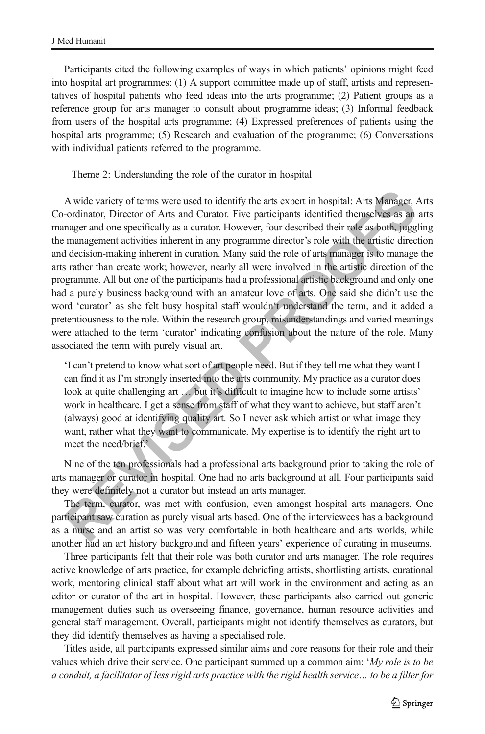Participants cited the following examples of ways in which patients' opinions might feed into hospital art programmes: (1) A support committee made up of staff, artists and representatives of hospital patients who feed ideas into the arts programme; (2) Patient groups as a reference group for arts manager to consult about programme ideas; (3) Informal feedback from users of the hospital arts programme; (4) Expressed preferences of patients using the hospital arts programme; (5) Research and evaluation of the programme; (6) Conversations with individual patients referred to the programme.

Theme 2: Understanding the role of the curator in hospital

A wide variety of terms were used to identify the ants expert in hospital: Arts Manager, -<br>ordinator, Director of Arts and Curator. Five participants identified themselves as an<br>margaer and one specifically as a cautor. Ho A wide variety of terms were used to identify the arts expert in hospital: Arts Manager, Arts Co-ordinator, Director of Arts and Curator. Five participants identified themselves as an arts manager and one specifically as a curator. However, four described their role as both, juggling the management activities inherent in any programme director's role with the artistic direction and decision-making inherent in curation. Many said the role of arts manager is to manage the arts rather than create work; however, nearly all were involved in the artistic direction of the programme. All but one of the participants had a professional artistic background and only one had a purely business background with an amateur love of arts. One said she didn't use the word 'curator' as she felt busy hospital staff wouldn't understand the term, and it added a pretentiousness to the role. Within the research group, misunderstandings and varied meanings were attached to the term 'curator' indicating confusion about the nature of the role. Many associated the term with purely visual art.

'I can't pretend to know what sort of art people need. But if they tell me what they want I can find it as I'm strongly inserted into the arts community. My practice as a curator does look at quite challenging art ... but it's difficult to imagine how to include some artists' work in healthcare. I get a sense from staff of what they want to achieve, but staff aren't (always) good at identifying quality art. So I never ask which artist or what image they want, rather what they want to communicate. My expertise is to identify the right art to meet the need/brief.'

Nine of the ten professionals had a professional arts background prior to taking the role of arts manager or curator in hospital. One had no arts background at all. Four participants said they were definitely not a curator but instead an arts manager.

The term, curator, was met with confusion, even amongst hospital arts managers. One participant saw curation as purely visual arts based. One of the interviewees has a background as a nurse and an artist so was very comfortable in both healthcare and arts worlds, while another had an art history background and fifteen years' experience of curating in museums.

Three participants felt that their role was both curator and arts manager. The role requires active knowledge of arts practice, for example debriefing artists, shortlisting artists, curational work, mentoring clinical staff about what art will work in the environment and acting as an editor or curator of the art in hospital. However, these participants also carried out generic management duties such as overseeing finance, governance, human resource activities and general staff management. Overall, participants might not identify themselves as curators, but they did identify themselves as having a specialised role.

Titles aside, all participants expressed similar aims and core reasons for their role and their values which drive their service. One participant summed up a common aim: 'My role is to be a conduit, a facilitator of less rigid arts practice with the rigid health service… to be a filter for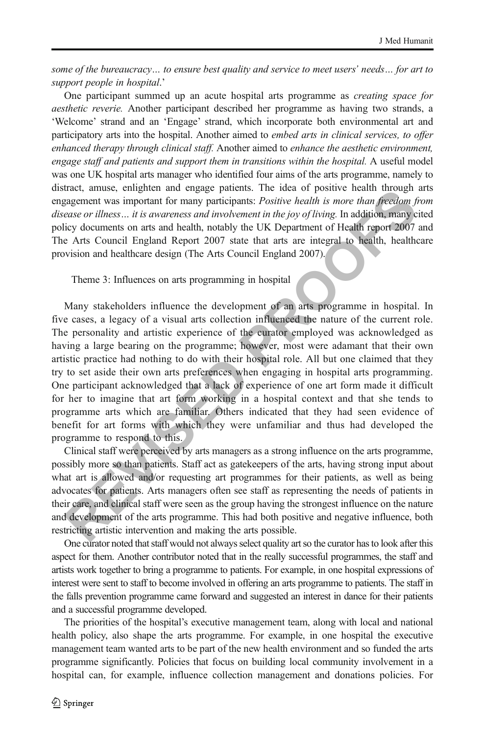some of the bureaucracy… to ensure best quality and service to meet users' needs… for art to support people in hospital.'

One participant summed up an acute hospital arts programme as creating space for aesthetic reverie. Another participant described her programme as having two strands, a 'Welcome' strand and an 'Engage' strand, which incorporate both environmental art and participatory arts into the hospital. Another aimed to *embed arts in clinical services, to offer* enhanced therapy through clinical staff. Another aimed to enhance the aesthetic environment, engage staff and patients and support them in transitions within the hospital. A useful model was one UK hospital arts manager who identified four aims of the arts programme, namely to distract, amuse, enlighten and engage patients. The idea of positive health through arts engagement was important for many participants: *Positive health is more than freedom from* disease or illness… it is awareness and involvement in the joy of living. In addition, many cited policy documents on arts and health, notably the UK Department of Health report 2007 and The Arts Council England Report 2007 state that arts are integral to health, healthcare provision and healthcare design (The Arts Council England 2007).

Theme 3: Influences on arts programming in hospital

ata, anase, emignent and engage pataeins. In the deal of positive headin in the parameter, and see the single parameter was important for many participants: *Positive health is more than freedom fraces or illness... it is* Many stakeholders influence the development of an arts programme in hospital. In five cases, a legacy of a visual arts collection influenced the nature of the current role. The personality and artistic experience of the curator employed was acknowledged as having a large bearing on the programme; however, most were adamant that their own artistic practice had nothing to do with their hospital role. All but one claimed that they try to set aside their own arts preferences when engaging in hospital arts programming. One participant acknowledged that a lack of experience of one art form made it difficult for her to imagine that art form working in a hospital context and that she tends to programme arts which are familiar. Others indicated that they had seen evidence of benefit for art forms with which they were unfamiliar and thus had developed the programme to respond to this.

Clinical staff were perceived by arts managers as a strong influence on the arts programme, possibly more so than patients. Staff act as gatekeepers of the arts, having strong input about what art is allowed and/or requesting art programmes for their patients, as well as being advocates for patients. Arts managers often see staff as representing the needs of patients in their care, and clinical staff were seen as the group having the strongest influence on the nature and development of the arts programme. This had both positive and negative influence, both restricting artistic intervention and making the arts possible.

One curator noted that staff would not always select quality art so the curator has to look after this aspect for them. Another contributor noted that in the really successful programmes, the staff and artists work together to bring a programme to patients. For example, in one hospital expressions of interest were sent to staff to become involved in offering an arts programme to patients. The staff in the falls prevention programme came forward and suggested an interest in dance for their patients and a successful programme developed.

The priorities of the hospital's executive management team, along with local and national health policy, also shape the arts programme. For example, in one hospital the executive management team wanted arts to be part of the new health environment and so funded the arts programme significantly. Policies that focus on building local community involvement in a hospital can, for example, influence collection management and donations policies. For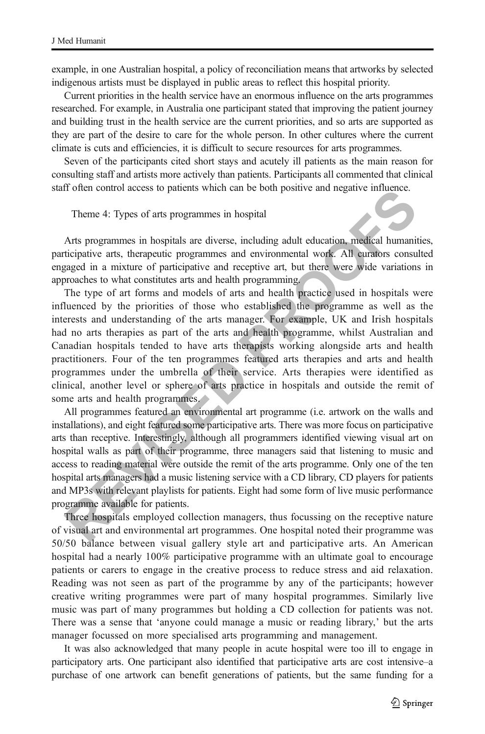example, in one Australian hospital, a policy of reconciliation means that artworks by selected indigenous artists must be displayed in public areas to reflect this hospital priority.

Current priorities in the health service have an enormous influence on the arts programmes researched. For example, in Australia one participant stated that improving the patient journey and building trust in the health service are the current priorities, and so arts are supported as they are part of the desire to care for the whole person. In other cultures where the current climate is cuts and efficiencies, it is difficult to secure resources for arts programmes.

Seven of the participants cited short stays and acutely ill patients as the main reason for consulting staff and artists more actively than patients. Participants all commented that clinical staff often control access to patients which can be both positive and negative influence.

Theme 4: Types of arts programmes in hospital

Arts programmes in hospitals are diverse, including adult education, medical humanities, participative arts, therapeutic programmes and environmental work. All curators consulted engaged in a mixture of participative and receptive art, but there were wide variations in approaches to what constitutes arts and health programming.

If other control access to patents wincit can be both positive and negative immediate.<br>
Theme 4: Types of arts programmes in hospital<br>
Arts programmes in hospitals<br>
Arts programmes in hospitals<br>
Arts programmes in hospital The type of art forms and models of arts and health practice used in hospitals were influenced by the priorities of those who established the programme as well as the interests and understanding of the arts manager. For example, UK and Irish hospitals had no arts therapies as part of the arts and health programme, whilst Australian and Canadian hospitals tended to have arts therapists working alongside arts and health practitioners. Four of the ten programmes featured arts therapies and arts and health programmes under the umbrella of their service. Arts therapies were identified as clinical, another level or sphere of arts practice in hospitals and outside the remit of some arts and health programmes.

All programmes featured an environmental art programme (i.e. artwork on the walls and installations), and eight featured some participative arts. There was more focus on participative arts than receptive. Interestingly, although all programmers identified viewing visual art on hospital walls as part of their programme, three managers said that listening to music and access to reading material were outside the remit of the arts programme. Only one of the ten hospital arts managers had a music listening service with a CD library, CD players for patients and MP3s with relevant playlists for patients. Eight had some form of live music performance programme available for patients.

Three hospitals employed collection managers, thus focussing on the receptive nature of visual art and environmental art programmes. One hospital noted their programme was 50/50 balance between visual gallery style art and participative arts. An American hospital had a nearly 100% participative programme with an ultimate goal to encourage patients or carers to engage in the creative process to reduce stress and aid relaxation. Reading was not seen as part of the programme by any of the participants; however creative writing programmes were part of many hospital programmes. Similarly live music was part of many programmes but holding a CD collection for patients was not. There was a sense that 'anyone could manage a music or reading library,' but the arts manager focussed on more specialised arts programming and management.

It was also acknowledged that many people in acute hospital were too ill to engage in participatory arts. One participant also identified that participative arts are cost intensive–a purchase of one artwork can benefit generations of patients, but the same funding for a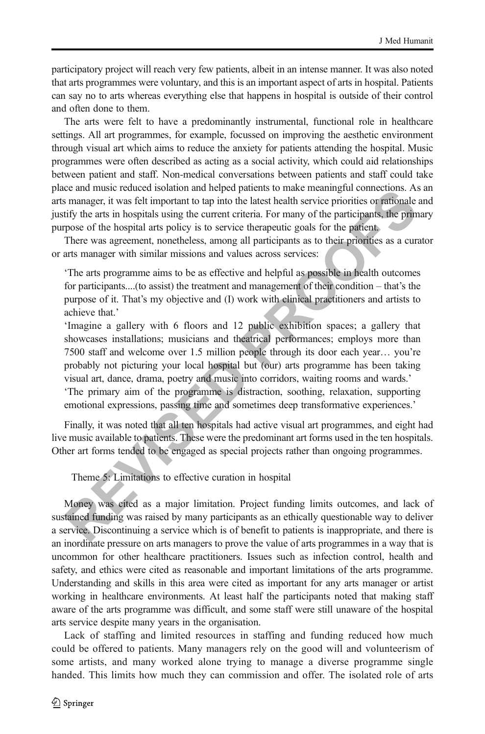participatory project will reach very few patients, albeit in an intense manner. It was also noted that arts programmes were voluntary, and this is an important aspect of arts in hospital. Patients can say no to arts whereas everything else that happens in hospital is outside of their control and often done to them.

The arts were felt to have a predominantly instrumental, functional role in healthcare settings. All art programmes, for example, focussed on improving the aesthetic environment through visual art which aims to reduce the anxiety for patients attending the hospital. Music programmes were often described as acting as a social activity, which could aid relationships between patient and staff. Non-medical conversations between patients and staff could take place and music reduced isolation and helped patients to make meaningful connections. As an arts manager, it was felt important to tap into the latest health service priorities or rationale and justify the arts in hospitals using the current criteria. For many of the participants, the primary purpose of the hospital arts policy is to service therapeutic goals for the patient.

There was agreement, nonetheless, among all participants as to their priorities as a curator or arts manager with similar missions and values across services:

'The arts programme aims to be as effective and helpful as possible in health outcomes for participants....(to assist) the treatment and management of their condition – that's the purpose of it. That's my objective and (I) work with clinical practitioners and artists to achieve that.'

E and interaction satisfact is a many matterial particle and matter and many manager, it was felt important to tap into the latest health service priorities or prationals in smanager, it was felt important to tap into the 'Imagine a gallery with 6 floors and 12 public exhibition spaces; a gallery that showcases installations; musicians and theatrical performances; employs more than 7500 staff and welcome over 1.5 million people through its door each year… you're probably not picturing your local hospital but (our) arts programme has been taking visual art, dance, drama, poetry and music into corridors, waiting rooms and wards.' 'The primary aim of the programme is distraction, soothing, relaxation, supporting emotional expressions, passing time and sometimes deep transformative experiences.'

Finally, it was noted that all ten hospitals had active visual art programmes, and eight had live music available to patients. These were the predominant art forms used in the ten hospitals. Other art forms tended to be engaged as special projects rather than ongoing programmes.

Theme 5: Limitations to effective curation in hospital

Money was cited as a major limitation. Project funding limits outcomes, and lack of sustained funding was raised by many participants as an ethically questionable way to deliver a service. Discontinuing a service which is of benefit to patients is inappropriate, and there is an inordinate pressure on arts managers to prove the value of arts programmes in a way that is uncommon for other healthcare practitioners. Issues such as infection control, health and safety, and ethics were cited as reasonable and important limitations of the arts programme. Understanding and skills in this area were cited as important for any arts manager or artist working in healthcare environments. At least half the participants noted that making staff aware of the arts programme was difficult, and some staff were still unaware of the hospital arts service despite many years in the organisation.

Lack of staffing and limited resources in staffing and funding reduced how much could be offered to patients. Many managers rely on the good will and volunteerism of some artists, and many worked alone trying to manage a diverse programme single handed. This limits how much they can commission and offer. The isolated role of arts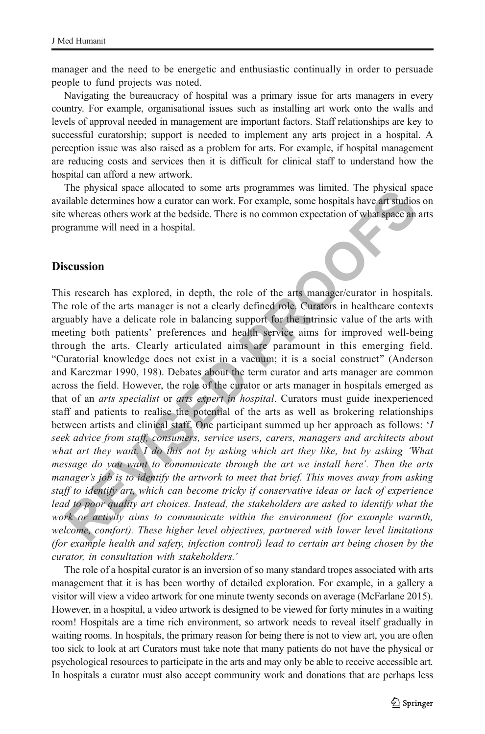manager and the need to be energetic and enthusiastic continually in order to persuade people to fund projects was noted.

Navigating the bureaucracy of hospital was a primary issue for arts managers in every country. For example, organisational issues such as installing art work onto the walls and levels of approval needed in management are important factors. Staff relationships are key to successful curatorship; support is needed to implement any arts project in a hospital. A perception issue was also raised as a problem for arts. For example, if hospital management are reducing costs and services then it is difficult for clinical staff to understand how the hospital can afford a new artwork.

The physical space allocated to some arts programmes was limited. The physical space available determines how a curator can work. For example, some hospitals have art studios on site whereas others work at the bedside. There is no common expectation of what space an arts programme will need in a hospital.

## Discussion

**The physical space anothetic of one and space model in the physical space and the state increase anothetic and the state increase of the arts manger (and the subscribe whereas others were at the bedside. There is no commo** This research has explored, in depth, the role of the arts manager/curator in hospitals. The role of the arts manager is not a clearly defined role. Curators in healthcare contexts arguably have a delicate role in balancing support for the intrinsic value of the arts with meeting both patients' preferences and health service aims for improved well-being through the arts. Clearly articulated aims are paramount in this emerging field. "Curatorial knowledge does not exist in a vacuum; it is a social construct" (Anderson and Karczmar 1990, 198). Debates about the term curator and arts manager are common across the field. However, the role of the curator or arts manager in hospitals emerged as that of an *arts specialist* or *arts expert in hospital*. Curators must guide inexperienced staff and patients to realise the potential of the arts as well as brokering relationships between artists and clinical staff. One participant summed up her approach as follows: 'I seek advice from staff, consumers, service users, carers, managers and architects about what art they want. I do this not by asking which art they like, but by asking 'What message do you want to communicate through the art we install here'. Then the arts manager's job is to identify the artwork to meet that brief. This moves away from asking staff to identify art, which can become tricky if conservative ideas or lack of experience lead to poor quality art choices. Instead, the stakeholders are asked to identify what the work or activity aims to communicate within the environment (for example warmth, welcome, comfort). These higher level objectives, partnered with lower level limitations (for example health and safety, infection control) lead to certain art being chosen by the curator, in consultation with stakeholders.'

The role of a hospital curator is an inversion of so many standard tropes associated with arts management that it is has been worthy of detailed exploration. For example, in a gallery a visitor will view a video artwork for one minute twenty seconds on average (McFarlane 2015). However, in a hospital, a video artwork is designed to be viewed for forty minutes in a waiting room! Hospitals are a time rich environment, so artwork needs to reveal itself gradually in waiting rooms. In hospitals, the primary reason for being there is not to view art, you are often too sick to look at art Curators must take note that many patients do not have the physical or psychological resources to participate in the arts and may only be able to receive accessible art. In hospitals a curator must also accept community work and donations that are perhaps less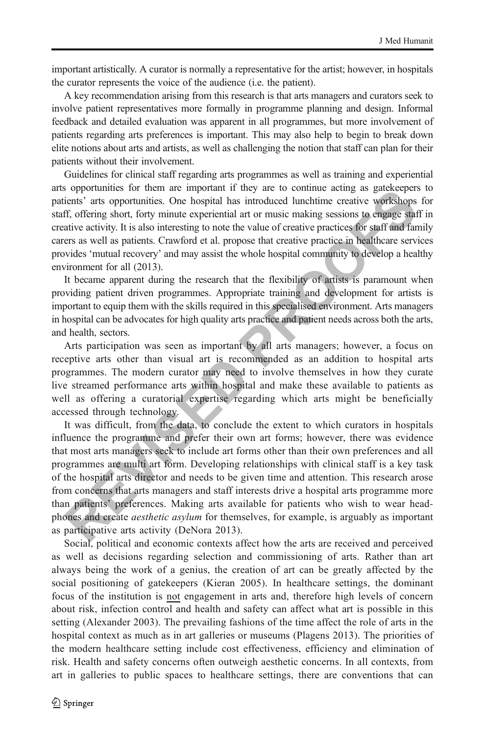important artistically. A curator is normally a representative for the artist; however, in hospitals the curator represents the voice of the audience (i.e. the patient).

A key recommendation arising from this research is that arts managers and curators seek to involve patient representatives more formally in programme planning and design. Informal feedback and detailed evaluation was apparent in all programmes, but more involvement of patients regarding arts preferences is important. This may also help to begin to break down elite notions about arts and artists, as well as challenging the notion that staff can plan for their patients without their involvement.

Guidelines for clinical staff regarding arts programmes as well as training and experiential arts opportunities for them are important if they are to continue acting as gatekeepers to patients' arts opportunities. One hospital has introduced lunchtime creative workshops for staff, offering short, forty minute experiential art or music making sessions to engage staff in creative activity. It is also interesting to note the value of creative practices for staff and family carers as well as patients. Crawford et al. propose that creative practice in healthcare services provides 'mutual recovery' and may assist the whole hospital community to develop a healthy environment for all (2013).

It became apparent during the research that the flexibility of artists is paramount when providing patient driven programmes. Appropriate training and development for artists is important to equip them with the skills required in this specialised environment. Arts managers in hospital can be advocates for high quality arts practice and patient needs across both the arts, and health, sectors.

Arts participation was seen as important by all arts managers; however, a focus on receptive arts other than visual art is recommended as an addition to hospital arts programmes. The modern curator may need to involve themselves in how they curate live streamed performance arts within hospital and make these available to patients as well as offering a curatorial expertise regarding which arts might be beneficially accessed through technology.

sopponimes of mean emportant in they are to cominne earlige actesseperations and considerate that in the system of the traction properties. One hospital has introduced lunchtime creative workshops ff, offering short, forty It was difficult, from the data, to conclude the extent to which curators in hospitals influence the programme and prefer their own art forms; however, there was evidence that most arts managers seek to include art forms other than their own preferences and all programmes are multi art form. Developing relationships with clinical staff is a key task of the hospital arts director and needs to be given time and attention. This research arose from concerns that arts managers and staff interests drive a hospital arts programme more than patients' preferences. Making arts available for patients who wish to wear headphones and create *aesthetic asylum* for themselves, for example, is arguably as important as participative arts activity (DeNora 2013).

Social, political and economic contexts affect how the arts are received and perceived as well as decisions regarding selection and commissioning of arts. Rather than art always being the work of a genius, the creation of art can be greatly affected by the social positioning of gatekeepers (Kieran 2005). In healthcare settings, the dominant focus of the institution is not engagement in arts and, therefore high levels of concern about risk, infection control and health and safety can affect what art is possible in this setting (Alexander 2003). The prevailing fashions of the time affect the role of arts in the hospital context as much as in art galleries or museums (Plagens 2013). The priorities of the modern healthcare setting include cost effectiveness, efficiency and elimination of risk. Health and safety concerns often outweigh aesthetic concerns. In all contexts, from art in galleries to public spaces to healthcare settings, there are conventions that can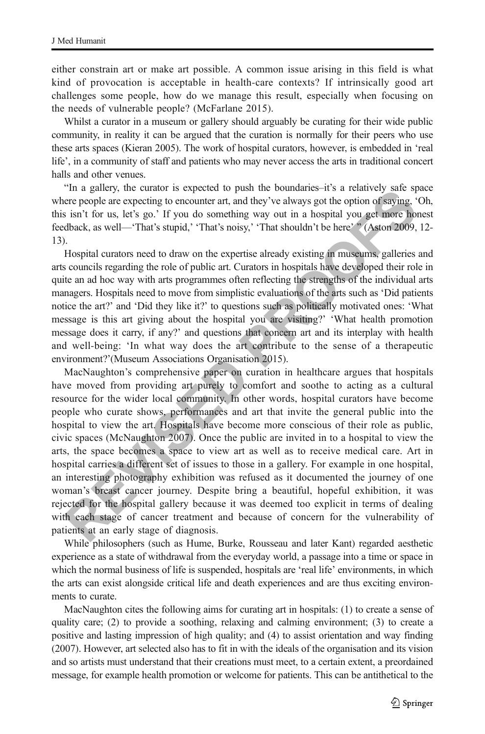either constrain art or make art possible. A common issue arising in this field is what kind of provocation is acceptable in health-care contexts? If intrinsically good art challenges some people, how do we manage this result, especially when focusing on the needs of vulnerable people? (McFarlane 2015).

Whilst a curator in a museum or gallery should arguably be curating for their wide public community, in reality it can be argued that the curation is normally for their peers who use these arts spaces (Kieran 2005). The work of hospital curators, however, is embedded in 'real life', in a community of staff and patients who may never access the arts in traditional concert halls and other venues.

BIn a gallery, the curator is expected to push the boundaries–it's a relatively safe space where people are expecting to encounter art, and they've always got the option of saying, 'Oh, this isn't for us, let's go.' If you do something way out in a hospital you get more honest feedback, as well—'That's stupid,' 'That's noisy,' 'That shouldn't be here' ^ (Aston 2009, 12- 13).

Hospital curators need to draw on the expertise already existing in museums, galleries and arts councils regarding the role of public art. Curators in hospitals have developed their role in quite an ad hoc way with arts programmes often reflecting the strengths of the individual arts managers. Hospitals need to move from simplistic evaluations of the arts such as 'Did patients notice the art?' and 'Did they like it?' to questions such as politically motivated ones: 'What message is this art giving about the hospital you are visiting?' 'What health promotion message does it carry, if any?' and questions that concern art and its interplay with health and well-being: 'In what way does the art contribute to the sense of a therapeutic environment?'(Museum Associations Organisation 2015).

In a gasteix, us cuatour sexpected to pust use boundaries-it s a retainery, see the people are expecting to encounter art, and they've always got the option of saying, "<br>sin" I or us, let's go.' If you do something way out MacNaughton's comprehensive paper on curation in healthcare argues that hospitals have moved from providing art purely to comfort and soothe to acting as a cultural resource for the wider local community. In other words, hospital curators have become people who curate shows, performances and art that invite the general public into the hospital to view the art. Hospitals have become more conscious of their role as public, civic spaces (McNaughton 2007). Once the public are invited in to a hospital to view the arts, the space becomes a space to view art as well as to receive medical care. Art in hospital carries a different set of issues to those in a gallery. For example in one hospital, an interesting photography exhibition was refused as it documented the journey of one woman's breast cancer journey. Despite bring a beautiful, hopeful exhibition, it was rejected for the hospital gallery because it was deemed too explicit in terms of dealing with each stage of cancer treatment and because of concern for the vulnerability of patients at an early stage of diagnosis.

While philosophers (such as Hume, Burke, Rousseau and later Kant) regarded aesthetic experience as a state of withdrawal from the everyday world, a passage into a time or space in which the normal business of life is suspended, hospitals are 'real life' environments, in which the arts can exist alongside critical life and death experiences and are thus exciting environments to curate.

MacNaughton cites the following aims for curating art in hospitals: (1) to create a sense of quality care; (2) to provide a soothing, relaxing and calming environment; (3) to create a positive and lasting impression of high quality; and (4) to assist orientation and way finding (2007). However, art selected also has to fit in with the ideals of the organisation and its vision and so artists must understand that their creations must meet, to a certain extent, a preordained message, for example health promotion or welcome for patients. This can be antithetical to the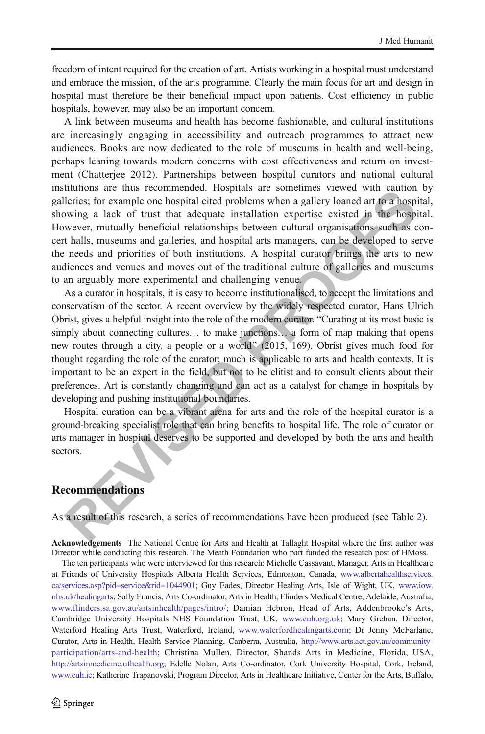freedom of intent required for the creation of art. Artists working in a hospital must understand and embrace the mission, of the arts programme. Clearly the main focus for art and design in hospital must therefore be their beneficial impact upon patients. Cost efficiency in public hospitals, however, may also be an important concern.

A link between museums and health has become fashionable, and cultural institutions are increasingly engaging in accessibility and outreach programmes to attract new audiences. Books are now dedicated to the role of museums in health and well-being, perhaps leaning towards modern concerns with cost effectiveness and return on investment (Chatterjee 2012). Partnerships between hospital curators and national cultural institutions are thus recommended. Hospitals are sometimes viewed with caution by galleries; for example one hospital cited problems when a gallery loaned art to a hospital, showing a lack of trust that adequate installation expertise existed in the hospital. However, mutually beneficial relationships between cultural organisations such as concert halls, museums and galleries, and hospital arts managers, can be developed to serve the needs and priorities of both institutions. A hospital curator brings the arts to new audiences and venues and moves out of the traditional culture of galleries and museums to an arguably more experimental and challenging venue.

traitions are tuss recommented. Trospirals are sometimes viewer wire cautom<br>thereis; for example one hospital cited problems when a gallery loaned art to a hospital<br>wing a lack of trust that adequate installation expertise As a curator in hospitals, it is easy to become institutionalised, to accept the limitations and conservatism of the sector. A recent overview by the widely respected curator, Hans Ulrich Obrist, gives a helpful insight into the role of the modern curator. "Curating at its most basic is simply about connecting cultures… to make junctions… a form of map making that opens new routes through a city, a people or a world" (2015, 169). Obrist gives much food for thought regarding the role of the curator; much is applicable to arts and health contexts. It is important to be an expert in the field, but not to be elitist and to consult clients about their preferences. Art is constantly changing and can act as a catalyst for change in hospitals by developing and pushing institutional boundaries.

Hospital curation can be a vibrant arena for arts and the role of the hospital curator is a ground-breaking specialist role that can bring benefits to hospital life. The role of curator or arts manager in hospital deserves to be supported and developed by both the arts and health sectors.

## **Recommendations**

As a result of this research, a series of recommendations have been produced (see Table [2\)](#page-14-0).

Acknowledgements The National Centre for Arts and Health at Tallaght Hospital where the first author was Director while conducting this research. The Meath Foundation who part funded the research post of HMoss.

The ten participants who were interviewed for this research: Michelle Cassavant, Manager, Arts in Healthcare at Friends of University Hospitals Alberta Health Services, Edmonton, Canada, [www.albertahealthservices.](http://www.albertahealthservices.ca/services.asp?pid=service&rid=1044901) [ca/services.asp?pid=service&rid=1044901](http://www.albertahealthservices.ca/services.asp?pid=service&rid=1044901); Guy Eades, Director Healing Arts, Isle of Wight, UK, [www.iow.](http://www.iow.nhs.uk/healingarts) [nhs.uk/healingarts;](http://www.iow.nhs.uk/healingarts) Sally Francis, Arts Co-ordinator, Arts in Health, Flinders Medical Centre, Adelaide, Australia, [www.flinders.sa.gov.au/artsinhealth/pages/intro/](http://www.flinders.sa.gov.au/artsinhealth/pages/intro/); Damian Hebron, Head of Arts, Addenbrooke's Arts, Cambridge University Hospitals NHS Foundation Trust, UK, [www.cuh.org.uk;](http://www.cuh.org.uk/) Mary Grehan, Director, Waterford Healing Arts Trust, Waterford, Ireland, [www.waterfordhealingarts.com](http://www.waterfordhealingarts.com/); Dr Jenny McFarlane, Curator, Arts in Health, Health Service Planning, Canberra, Australia, [http://www.arts.act.gov.au/community](http://www.arts.act.gov.au/community-participation/arts-and-health)[participation/arts-and-health;](http://www.arts.act.gov.au/community-participation/arts-and-health) Christina Mullen, Director, Shands Arts in Medicine, Florida, USA, [http://artsinmedicine.ufhealth.org](http://artsinmedicine.ufhealth.org/); Edelle Nolan, Arts Co-ordinator, Cork University Hospital, Cork, Ireland, [www.cuh.ie](http://www.cuh.ie/); Katherine Trapanovski, Program Director, Arts in Healthcare Initiative, Center for the Arts, Buffalo,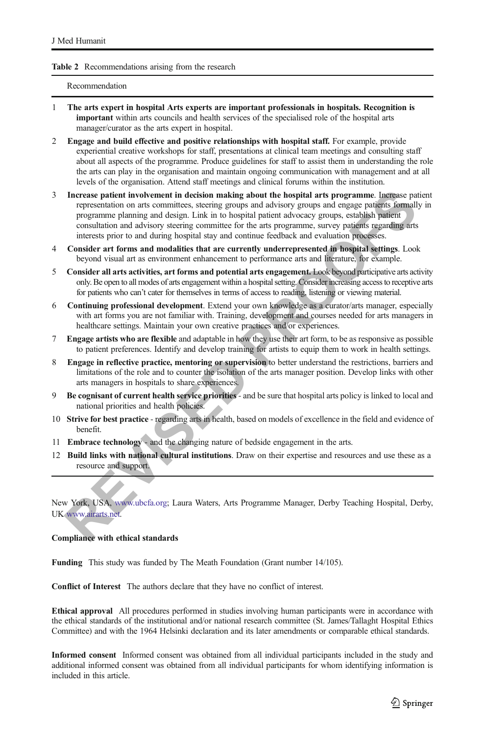#### <span id="page-14-0"></span>Table 2 Recommendations arising from the research

#### Recommendation

- 1 The arts expert in hospital Arts experts are important professionals in hospitals. Recognition is important within arts councils and health services of the specialised role of the hospital arts manager/curator as the arts expert in hospital.
- 2 Engage and build effective and positive relationships with hospital staff. For example, provide experiential creative workshops for staff, presentations at clinical team meetings and consulting staff about all aspects of the programme. Produce guidelines for staff to assist them in understanding the role the arts can play in the organisation and maintain ongoing communication with management and at all levels of the organisation. Attend staff meetings and clinical forums within the institution.
- **[E](http://www.ubcfa.org/)xperient involvement in decision making about the hospital arts programme. Ingeresse party-<br>representation on ants committees, steering groups and advisory groups, establish partier<br>programme planning and design. Link in** 3 Increase patient involvement in decision making about the hospital arts programme. Increase patient representation on arts committees, steering groups and advisory groups and engage patients formally in programme planning and design. Link in to hospital patient advocacy groups, establish patient consultation and advisory steering committee for the arts programme, survey patients regarding arts interests prior to and during hospital stay and continue feedback and evaluation processes.
- 4 Consider art forms and modalities that are currently underrepresented in hospital settings. Look beyond visual art as environment enhancement to performance arts and literature, for example.
- 5 Consider all arts activities, art forms and potential arts engagement. Look beyond participative arts activity only. Be open to all modes of arts engagement within a hospital setting. Consider increasing access to receptive arts for patients who can't cater for themselves in terms of access to reading, listening or viewing material.
- 6 Continuing professional development. Extend your own knowledge as a curator/arts manager, especially with art forms you are not familiar with. Training, development and courses needed for arts managers in healthcare settings. Maintain your own creative practices and/or experiences.
- 7 Engage artists who are flexible and adaptable in how they use their art form, to be as responsive as possible to patient preferences. Identify and develop training for artists to equip them to work in health settings.
- 8 Engage in reflective practice, mentoring or supervision to better understand the restrictions, barriers and limitations of the role and to counter the isolation of the arts manager position. Develop links with other arts managers in hospitals to share experiences.
- 9 Be cognisant of current health service priorities and be sure that hospital arts policy is linked to local and national priorities and health policies.
- 10 Strive for best practice regarding arts in health, based on models of excellence in the field and evidence of benefit.
- 11 Embrace technology and the changing nature of bedside engagement in the arts.
- 12 Build links with national cultural institutions. Draw on their expertise and resources and use these as a resource and support.

New York, USA, www.ubcfa.org; Laura Waters, Arts Programme Manager, Derby Teaching Hospital, Derby, UK www.airarts.net.

#### Compliance with ethical standards

Funding This study was funded by The Meath Foundation (Grant number 14/105).

Conflict of Interest The authors declare that they have no conflict of interest.

Ethical approval All procedures performed in studies involving human participants were in accordance with the ethical standards of the institutional and/or national research committee (St. James/Tallaght Hospital Ethics Committee) and with the 1964 Helsinki declaration and its later amendments or comparable ethical standards.

Informed consent Informed consent was obtained from all individual participants included in the study and additional informed consent was obtained from all individual participants for whom identifying information is included in this article.